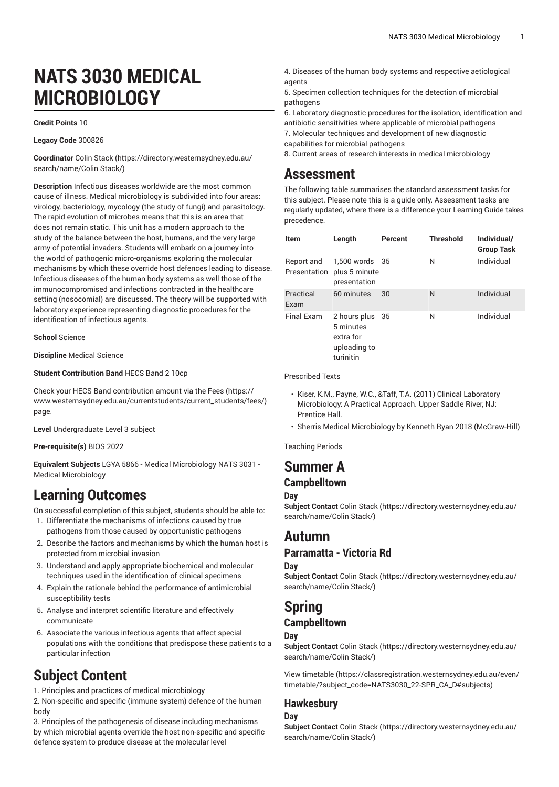# **NATS 3030 MEDICAL MICROBIOLOGY**

#### **Credit Points** 10

#### **Legacy Code** 300826

**Coordinator** [Colin Stack](https://directory.westernsydney.edu.au/search/name/Colin Stack/) ([https://directory.westernsydney.edu.au/](https://directory.westernsydney.edu.au/search/name/Colin Stack/) [search/name/Colin](https://directory.westernsydney.edu.au/search/name/Colin Stack/) Stack/)

**Description** Infectious diseases worldwide are the most common cause of illness. Medical microbiology is subdivided into four areas: virology, bacteriology, mycology (the study of fungi) and parasitology. The rapid evolution of microbes means that this is an area that does not remain static. This unit has a modern approach to the study of the balance between the host, humans, and the very large army of potential invaders. Students will embark on a journey into the world of pathogenic micro-organisms exploring the molecular mechanisms by which these override host defences leading to disease. Infectious diseases of the human body systems as well those of the immunocompromised and infections contracted in the healthcare setting (nosocomial) are discussed. The theory will be supported with laboratory experience representing diagnostic procedures for the identification of infectious agents.

**School** Science

**Discipline** Medical Science

**Student Contribution Band** HECS Band 2 10cp

Check your HECS Band contribution amount via the [Fees \(https://](https://www.westernsydney.edu.au/currentstudents/current_students/fees/) [www.westernsydney.edu.au/currentstudents/current\\_students/fees/\)](https://www.westernsydney.edu.au/currentstudents/current_students/fees/) page.

**Level** Undergraduate Level 3 subject

**Pre-requisite(s)** [BIOS 2022](/search/?P=BIOS%202022)

**Equivalent Subjects** LGYA 5866 - Medical Microbiology NATS 3031 - Medical Microbiology

## **Learning Outcomes**

On successful completion of this subject, students should be able to:

- 1. Differentiate the mechanisms of infections caused by true pathogens from those caused by opportunistic pathogens
- 2. Describe the factors and mechanisms by which the human host is protected from microbial invasion
- 3. Understand and apply appropriate biochemical and molecular techniques used in the identification of clinical specimens
- 4. Explain the rationale behind the performance of antimicrobial susceptibility tests
- 5. Analyse and interpret scientific literature and effectively communicate
- 6. Associate the various infectious agents that affect special populations with the conditions that predispose these patients to a particular infection

# **Subject Content**

1. Principles and practices of medical microbiology

2. Non-specific and specific (immune system) defence of the human body

3. Principles of the pathogenesis of disease including mechanisms by which microbial agents override the host non-specific and specific defence system to produce disease at the molecular level

- 4. Diseases of the human body systems and respective aetiological agents
- 5. Specimen collection techniques for the detection of microbial pathogens
- 6. Laboratory diagnostic procedures for the isolation, identification and antibiotic sensitivities where applicable of microbial pathogens
- 7. Molecular techniques and development of new diagnostic capabilities for microbial pathogens
- 8. Current areas of research interests in medical microbiology

## **Assessment**

The following table summarises the standard assessment tasks for this subject. Please note this is a guide only. Assessment tasks are regularly updated, where there is a difference your Learning Guide takes precedence.

| <b>Item</b>                | Length                                                                 | Percent | <b>Threshold</b> | Individual/<br><b>Group Task</b> |
|----------------------------|------------------------------------------------------------------------|---------|------------------|----------------------------------|
| Report and<br>Presentation | 1,500 words 35<br>plus 5 minute<br>presentation                        |         | N                | Individual                       |
| Practical<br>Exam          | 60 minutes                                                             | 30      | N                | Individual                       |
| <b>Final Exam</b>          | 2 hours plus 35<br>5 minutes<br>extra for<br>uploading to<br>turinitin |         | N                | Individual                       |

Prescribed Texts

- Kiser, K.M., Payne, W.C., &Taff, T.A. (2011) Clinical Laboratory Microbiology: A Practical Approach. Upper Saddle River, NJ: Prentice Hall.
- Sherris Medical Microbiology by Kenneth Ryan 2018 (McGraw-Hill)

Teaching Periods

## **Summer A Campbelltown**

#### **Day**

**Subject Contact** [Colin Stack](https://directory.westernsydney.edu.au/search/name/Colin Stack/) ([https://directory.westernsydney.edu.au/](https://directory.westernsydney.edu.au/search/name/Colin Stack/) [search/name/Colin](https://directory.westernsydney.edu.au/search/name/Colin Stack/) Stack/)

# **Autumn**

## **Parramatta - Victoria Rd**

#### **Day**

**Subject Contact** [Colin Stack](https://directory.westernsydney.edu.au/search/name/Colin Stack/) ([https://directory.westernsydney.edu.au/](https://directory.westernsydney.edu.au/search/name/Colin Stack/) [search/name/Colin](https://directory.westernsydney.edu.au/search/name/Colin Stack/) Stack/)

# **Spring**

## **Campbelltown**

### **Day**

**Subject Contact** [Colin Stack](https://directory.westernsydney.edu.au/search/name/Colin Stack/) ([https://directory.westernsydney.edu.au/](https://directory.westernsydney.edu.au/search/name/Colin Stack/) [search/name/Colin](https://directory.westernsydney.edu.au/search/name/Colin Stack/) Stack/)

[View timetable](https://classregistration.westernsydney.edu.au/even/timetable/?subject_code=NATS3030_22-SPR_CA_D#subjects) [\(https://classregistration.westernsydney.edu.au/even/](https://classregistration.westernsydney.edu.au/even/timetable/?subject_code=NATS3030_22-SPR_CA_D#subjects) [timetable/?subject\\_code=NATS3030\\_22-SPR\\_CA\\_D#subjects\)](https://classregistration.westernsydney.edu.au/even/timetable/?subject_code=NATS3030_22-SPR_CA_D#subjects)

## **Hawkesbury**

**Day**

**Subject Contact** [Colin Stack](https://directory.westernsydney.edu.au/search/name/Colin Stack/) ([https://directory.westernsydney.edu.au/](https://directory.westernsydney.edu.au/search/name/Colin Stack/) [search/name/Colin](https://directory.westernsydney.edu.au/search/name/Colin Stack/) Stack/)